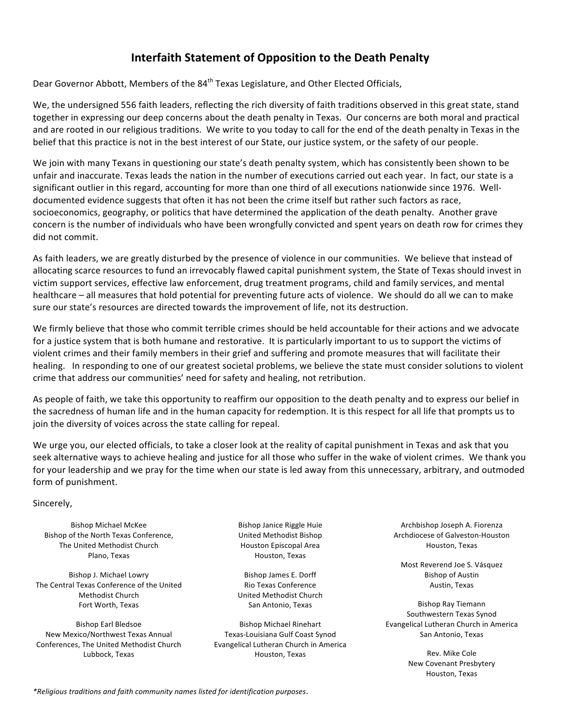## **Interfaith Statement of Opposition to the Death Penalty**

Dear Governor Abbott, Members of the 84<sup>th</sup> Texas Legislature, and Other Elected Officials,

We, the undersigned 556 faith leaders, reflecting the rich diversity of faith traditions observed in this great state, stand together in expressing our deep concerns about the death penalty in Texas. Our concerns are both moral and practical and are rooted in our religious traditions. We write to you today to call for the end of the death penalty in Texas in the belief that this practice is not in the best interest of our State, our justice system, or the safety of our people.

We join with many Texans in questioning our state's death penalty system, which has consistently been shown to be unfair and inaccurate. Texas leads the nation in the number of executions carried out each year. In fact, our state is a significant outlier in this regard, accounting for more than one third of all executions nationwide since 1976. Welldocumented evidence suggests that often it has not been the crime itself but rather such factors as race, socioeconomics, geography, or politics that have determined the application of the death penalty. Another grave concern is the number of individuals who have been wrongfully convicted and spent years on death row for crimes they did not commit.

As faith leaders, we are greatly disturbed by the presence of violence in our communities. We believe that instead of allocating scarce resources to fund an irrevocably flawed capital punishment system, the State of Texas should invest in victim support services, effective law enforcement, drug treatment programs, child and family services, and mental healthcare – all measures that hold potential for preventing future acts of violence. We should do all we can to make sure our state's resources are directed towards the improvement of life, not its destruction.

We firmly believe that those who commit terrible crimes should be held accountable for their actions and we advocate for a justice system that is both humane and restorative. It is particularly important to us to support the victims of violent crimes and their family members in their grief and suffering and promote measures that will facilitate their healing. In responding to one of our greatest societal problems, we believe the state must consider solutions to violent crime that address our communities' need for safety and healing, not retribution.

As people of faith, we take this opportunity to reaffirm our opposition to the death penalty and to express our belief in the sacredness of human life and in the human capacity for redemption. It is this respect for all life that prompts us to join the diversity of voices across the state calling for repeal.

We urge you, our elected officials, to take a closer look at the reality of capital punishment in Texas and ask that you seek alternative ways to achieve healing and justice for all those who suffer in the wake of violent crimes. We thank you for your leadership and we pray for the time when our state is led away from this unnecessary, arbitrary, and outmoded form of punishment.

Sincerely,

Bishop Michael McKee Bishop of the North Texas Conference, The United Methodist Church Plano, Texas

Bishop J. Michael Lowry The Central Texas Conference of the United Methodist Church Fort Worth, Texas

Bishop Earl Bledsoe New Mexico/Northwest Texas Annual Conferences, The United Methodist Church Lubbock, Texas

Bishop Janice Riggle Huie United Methodist Bishop Houston Episcopal Area Houston, Texas

Bishop James E. Dorff Rio Texas Conference United Methodist Church San Antonio, Texas

Bishop Michael Rinehart Texas-Louisiana Gulf Coast Synod Evangelical Lutheran Church in America Houston, Texas

Archbishop Joseph A. Fiorenza Archdiocese of Galveston-Houston Houston, Texas

Most Reverend Joe S. Vásquez **Bishop of Austin** Austin, Texas

Bishop Ray Tiemann Southwestern Texas Synod Evangelical Lutheran Church in America San Antonio, Texas

> Rev. Mike Cole New Covenant Presbytery Houston, Texas

*\*Religious traditions and faith community names listed for identification purposes*.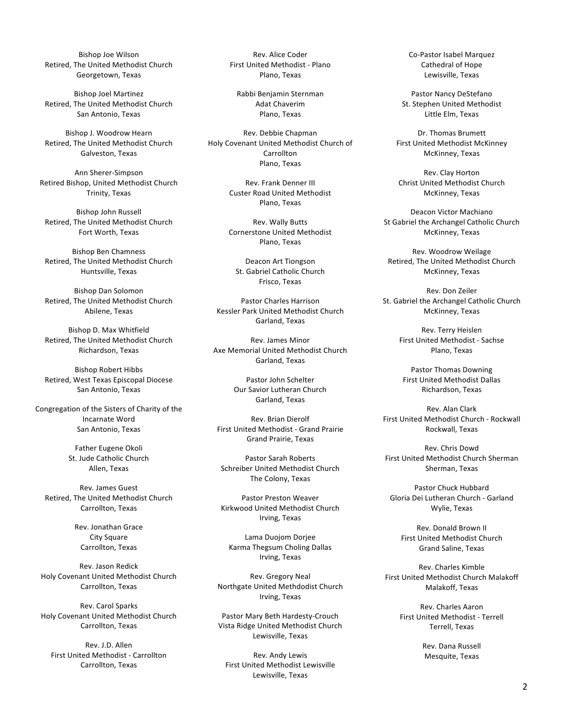Bishop Joe Wilson Retired, The United Methodist Church Georgetown, Texas

Bishop Joel Martinez Retired, The United Methodist Church San Antonio, Texas

Bishop J. Woodrow Hearn Retired, The United Methodist Church Galveston, Texas

Ann Sherer-Simpson Retired Bishop, United Methodist Church Trinity, Texas

Bishop John Russell Retired, The United Methodist Church Fort Worth, Texas

Bishop Ben Chamness Retired, The United Methodist Church Huntsville, Texas

Bishop Dan Solomon Retired, The United Methodist Church Abilene, Texas

Bishop D. Max Whitfield Retired, The United Methodist Church Richardson, Texas

Bishop Robert Hibbs Retired, West Texas Episcopal Diocese San Antonio, Texas

Congregation of the Sisters of Charity of the Incarnate Word San Antonio, Texas

> Father Eugene Okoli St. Jude Catholic Church Allen, Texas

Rev. James Guest Retired, The United Methodist Church Carrollton, Texas

> Rev. Jonathan Grace City Square Carrollton, Texas

Rev. Jason Redick Holy Covenant United Methodist Church Carrollton, Texas

Rev. Carol Sparks Holy Covenant United Methodist Church Carrollton, Texas

Rev. J.D. Allen First United Methodist - Carrollton Carrollton, Texas

Rev. Alice Coder First United Methodist - Plano Plano, Texas

Rabbi Benjamin Sternman Adat Chaverim Plano, Texas

Rev. Debbie Chapman Holy Covenant United Methodist Church of **Carrollton** Plano, Texas

> Rev. Frank Denner III Custer Road United Methodist Plano, Texas

> Rev. Wally Butts Cornerstone United Methodist Plano, Texas

Deacon Art Tiongson St. Gabriel Catholic Church Frisco, Texas

Pastor Charles Harrison Kessler Park United Methodist Church Garland, Texas

Rev. James Minor Axe Memorial United Methodist Church Garland, Texas

> Pastor John Schelter Our Savior Lutheran Church Garland, Texas

Rev. Brian Dierolf First United Methodist - Grand Prairie Grand Prairie, Texas

Pastor Sarah Roberts Schreiber United Methodist Church The Colony, Texas

Pastor Preston Weaver Kirkwood United Methodist Church Irving, Texas

Lama Duojom Dorjee Karma Thegsum Choling Dallas Irving, Texas

Rev. Gregory Neal Northgate United Methdodist Church Irving, Texas

Pastor Mary Beth Hardesty-Crouch Vista Ridge United Methodist Church Lewisville, Texas

Rev. Andy Lewis First United Methodist Lewisville Lewisville, Texas

Co-Pastor Isabel Marquez Cathedral of Hope Lewisville, Texas

Pastor Nancy DeStefano St. Stephen United Methodist Little Elm. Texas

Dr. Thomas Brumett First United Methodist McKinney McKinney, Texas

Rev. Clay Horton Christ United Methodist Church McKinney, Texas

Deacon Victor Machiano St Gabriel the Archangel Catholic Church McKinney, Texas

Rev. Woodrow Weilage Retired, The United Methodist Church McKinney, Texas

Rev. Don Zeiler St. Gabriel the Archangel Catholic Church McKinney, Texas

> Rev. Terry Heislen First United Methodist - Sachse Plano, Texas

Pastor Thomas Downing First United Methodist Dallas Richardson, Texas

Rev. Alan Clark First United Methodist Church - Rockwall Rockwall, Texas

Rev. Chris Dowd First United Methodist Church Sherman Sherman, Texas

Pastor Chuck Hubbard Gloria Dei Lutheran Church - Garland Wylie, Texas

Rev. Donald Brown II First United Methodist Church Grand Saline, Texas

Rev. Charles Kimble First United Methodist Church Malakoff Malakoff, Texas

> Rev. Charles Aaron First United Methodist - Terrell Terrell, Texas

> > Rev. Dana Russell Mesquite, Texas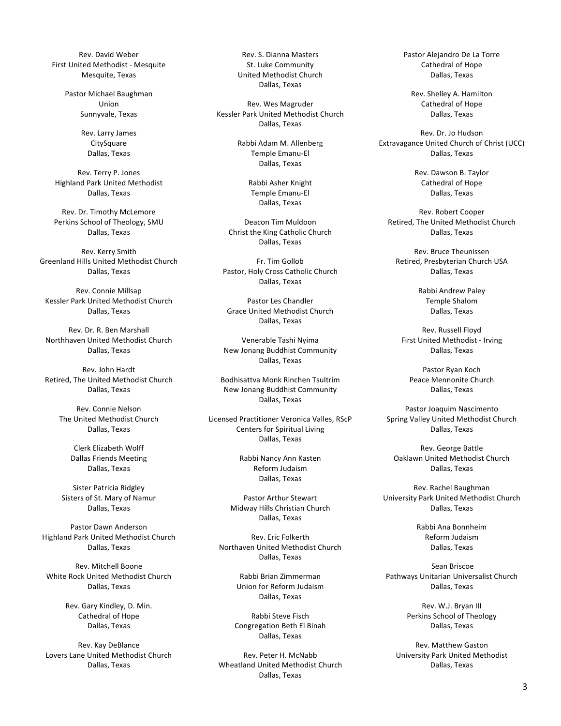Rev. David Weber First United Methodist - Mesquite Mesquite, Texas

> Pastor Michael Baughman Union Sunnyvale, Texas

> > Rev. Larry James **CitySquare** Dallas, Texas

Rev. Terry P. Jones Highland Park United Methodist Dallas, Texas

Rev. Dr. Timothy McLemore Perkins School of Theology, SMU Dallas, Texas

Rev. Kerry Smith Greenland Hills United Methodist Church Dallas, Texas

Rev. Connie Millsap Kessler Park United Methodist Church Dallas, Texas

Rev. Dr. R. Ben Marshall Northhaven United Methodist Church Dallas, Texas

Rev. John Hardt Retired, The United Methodist Church Dallas, Texas

> Rev. Connie Nelson The United Methodist Church Dallas, Texas

> > Clerk Elizabeth Wolff Dallas Friends Meeting Dallas, Texas

Sister Patricia Ridgley Sisters of St. Mary of Namur Dallas, Texas

Pastor Dawn Anderson Highland Park United Methodist Church Dallas, Texas

Rev. Mitchell Boone White Rock United Methodist Church Dallas, Texas

> Rev. Gary Kindley, D. Min. Cathedral of Hope Dallas, Texas

Rev. Kay DeBlance Lovers Lane United Methodist Church Dallas, Texas

Rev. S. Dianna Masters St. Luke Community United Methodist Church Dallas, Texas

Rev. Wes Magruder Kessler Park United Methodist Church Dallas, Texas

> Rabbi Adam M. Allenberg Temple Emanu-El Dallas, Texas

> > Rabbi Asher Knight Temple Emanu-El Dallas, Texas

Deacon Tim Muldoon Christ the King Catholic Church Dallas, Texas

Fr. Tim Gollob Pastor, Holy Cross Catholic Church Dallas, Texas

Pastor Les Chandler Grace United Methodist Church Dallas, Texas

Venerable Tashi Nyima New Jonang Buddhist Community Dallas, Texas

Bodhisattva Monk Rinchen Tsultrim New Jonang Buddhist Community Dallas, Texas

Licensed Practitioner Veronica Valles, RScP Centers for Spiritual Living Dallas, Texas

> Rabbi Nancy Ann Kasten Reform Judaism Dallas, Texas

Pastor Arthur Stewart Midway Hills Christian Church Dallas, Texas

Rev. Eric Folkerth Northaven United Methodist Church Dallas, Texas

> Rabbi Brian Zimmerman Union for Reform Judaism Dallas, Texas

Rabbi Steve Fisch Congregation Beth El Binah Dallas, Texas

Rev. Peter H. McNabb Wheatland United Methodist Church Dallas, Texas

Pastor Alejandro De La Torre Cathedral of Hope Dallas, Texas

Rev. Shelley A. Hamilton Cathedral of Hope Dallas, Texas

Rev. Dr. Jo Hudson Extravagance United Church of Christ (UCC) Dallas, Texas

> Rev. Dawson B. Taylor Cathedral of Hope Dallas, Texas

Rev. Robert Cooper Retired, The United Methodist Church Dallas, Texas

Rev. Bruce Theunissen Retired, Presbyterian Church USA Dallas, Texas

> Rabbi Andrew Paley Temple Shalom Dallas, Texas

Rev. Russell Floyd First United Methodist - Irving Dallas, Texas

> Pastor Ryan Koch Peace Mennonite Church Dallas, Texas

Pastor Joaquim Nascimento Spring Valley United Methodist Church Dallas, Texas

Rev. George Battle Oaklawn United Methodist Church Dallas, Texas

Rev. Rachel Baughman University Park United Methodist Church Dallas, Texas

> Rabbi Ana Bonnheim Reform Judaism Dallas, Texas

Sean Briscoe Pathways Unitarian Universalist Church Dallas, Texas

> Rev. W.J. Bryan III Perkins School of Theology Dallas, Texas

Rev. Matthew Gaston University Park United Methodist Dallas, Texas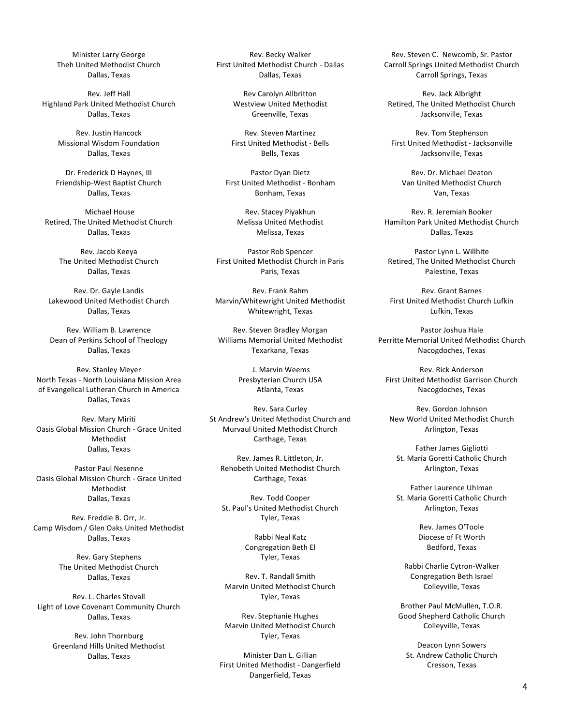Minister Larry George Theh United Methodist Church Dallas, Texas

Rev. Jeff Hall Highland Park United Methodist Church Dallas, Texas

> Rev. Justin Hancock Missional Wisdom Foundation Dallas, Texas

Dr. Frederick D Haynes, III Friendship-West Baptist Church Dallas, Texas

Michael House Retired, The United Methodist Church Dallas, Texas

Rev. Jacob Keeya The United Methodist Church Dallas, Texas

Rev. Dr. Gayle Landis Lakewood United Methodist Church Dallas, Texas

Rev. William B. Lawrence Dean of Perkins School of Theology Dallas, Texas

Rev. Stanley Meyer North Texas - North Louisiana Mission Area of Evangelical Lutheran Church in America Dallas, Texas

Rev. Mary Miriti Oasis Global Mission Church - Grace United Methodist Dallas, Texas

Pastor Paul Nesenne Oasis Global Mission Church - Grace United Methodist Dallas, Texas

Rev. Freddie B. Orr, Jr. Camp Wisdom / Glen Oaks United Methodist Dallas, Texas

> Rev. Gary Stephens The United Methodist Church Dallas, Texas

Rev. L. Charles Stovall Light of Love Covenant Community Church Dallas, Texas

Rev. John Thornburg Greenland Hills United Methodist Dallas, Texas

Rev. Becky Walker First United Methodist Church - Dallas Dallas, Texas

> Rev Carolyn Allbritton Westview United Methodist Greenville, Texas

Rev. Steven Martinez First United Methodist - Bells Bells, Texas

Pastor Dyan Dietz First United Methodist - Bonham Bonham, Texas

Rev. Stacey Piyakhun Melissa United Methodist Melissa, Texas

Pastor Rob Spencer First United Methodist Church in Paris Paris, Texas

Rev. Frank Rahm Marvin/Whitewright United Methodist Whitewright, Texas

Rev. Steven Bradley Morgan Williams Memorial United Methodist Texarkana, Texas

> J. Marvin Weems Presbyterian Church USA Atlanta, Texas

Rev. Sara Curley St Andrew's United Methodist Church and Murvaul United Methodist Church Carthage, Texas

Rev. James R. Littleton, Jr. Rehobeth United Methodist Church Carthage, Texas

Rev. Todd Cooper St. Paul's United Methodist Church Tyler, Texas

> Rabbi Neal Katz Congregation Beth El Tyler, Texas

Rev. T. Randall Smith Marvin United Methodist Church Tyler, Texas

Rev. Stephanie Hughes Marvin United Methodist Church Tyler, Texas

Minister Dan L. Gillian First United Methodist - Dangerfield Dangerfield, Texas

Rev. Steven C. Newcomb, Sr. Pastor Carroll Springs United Methodist Church Carroll Springs, Texas

Rev. Jack Albright Retired, The United Methodist Church Jacksonville, Texas

Rev. Tom Stephenson First United Methodist - Jacksonville Jacksonville, Texas

Rev. Dr. Michael Deaton Van United Methodist Church Van, Texas

Rev. R. Jeremiah Booker Hamilton Park United Methodist Church Dallas, Texas

Pastor Lynn L. Willhite Retired, The United Methodist Church Palestine, Texas

Rev. Grant Barnes First United Methodist Church Lufkin Lufkin, Texas

Pastor Joshua Hale Perritte Memorial United Methodist Church Nacogdoches, Texas

Rev. Rick Anderson First United Methodist Garrison Church Nacogdoches, Texas

Rev. Gordon Johnson New World United Methodist Church Arlington, Texas

Father James Gigliotti St. Maria Goretti Catholic Church Arlington, Texas

Father Laurence Uhlman St. Maria Goretti Catholic Church Arlington, Texas

> Rev. James O'Toole Diocese of Ft Worth Bedford, Texas

Rabbi Charlie Cytron-Walker Congregation Beth Israel Colleyville, Texas

Brother Paul McMullen, T.O.R. Good Shepherd Catholic Church Colleyville, Texas

Deacon Lynn Sowers St. Andrew Catholic Church Cresson, Texas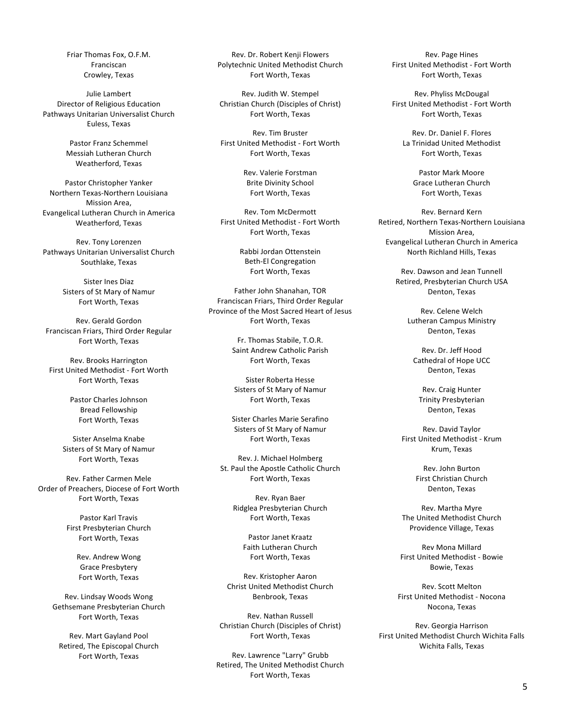Friar Thomas Fox, O.F.M. Franciscan Crowley, Texas

Julie Lambert Director of Religious Education Pathways Unitarian Universalist Church Euless, Texas

> Pastor Franz Schemmel Messiah Lutheran Church Weatherford, Texas

Pastor Christopher Yanker Northern Texas-Northern Louisiana Mission Area, Evangelical Lutheran Church in America Weatherford, Texas

Rev. Tony Lorenzen Pathways Unitarian Universalist Church Southlake, Texas

> Sister Ines Diaz Sisters of St Mary of Namur Fort Worth, Texas

Rev. Gerald Gordon Franciscan Friars, Third Order Regular Fort Worth, Texas

Rev. Brooks Harrington First United Methodist - Fort Worth Fort Worth, Texas

> Pastor Charles Johnson Bread Fellowship Fort Worth, Texas

Sister Anselma Knabe Sisters of St Mary of Namur Fort Worth, Texas

Rev. Father Carmen Mele Order of Preachers, Diocese of Fort Worth Fort Worth, Texas

> Pastor Karl Travis First Presbyterian Church Fort Worth, Texas

> > Rev. Andrew Wong Grace Presbytery Fort Worth, Texas

Rev. Lindsay Woods Wong Gethsemane Presbyterian Church Fort Worth, Texas

Rev. Mart Gayland Pool Retired, The Episcopal Church Fort Worth, Texas

Rev. Dr. Robert Kenji Flowers Polytechnic United Methodist Church Fort Worth, Texas

Rev. Judith W. Stempel Christian Church (Disciples of Christ) Fort Worth, Texas

Rev. Tim Bruster First United Methodist - Fort Worth Fort Worth, Texas

> Rev. Valerie Forstman Brite Divinity School Fort Worth, Texas

Rev. Tom McDermott First United Methodist - Fort Worth Fort Worth, Texas

> Rabbi Jordan Ottenstein Beth-El Congregation Fort Worth, Texas

Father John Shanahan, TOR Franciscan Friars, Third Order Regular Province of the Most Sacred Heart of Jesus Fort Worth, Texas

> Fr. Thomas Stabile, T.O.R. Saint Andrew Catholic Parish Fort Worth, Texas

Sister Roberta Hesse Sisters of St Mary of Namur Fort Worth, Texas

Sister Charles Marie Serafino Sisters of St Mary of Namur Fort Worth, Texas

Rev. J. Michael Holmberg St. Paul the Apostle Catholic Church Fort Worth, Texas

> Rev. Ryan Baer Ridglea Presbyterian Church Fort Worth, Texas

Pastor Janet Kraatz Faith Lutheran Church Fort Worth, Texas

Rev. Kristopher Aaron Christ United Methodist Church Benbrook, Texas

Rev. Nathan Russell Christian Church (Disciples of Christ) Fort Worth, Texas

Rev. Lawrence "Larry" Grubb Retired, The United Methodist Church Fort Worth, Texas

Rev. Page Hines First United Methodist - Fort Worth Fort Worth, Texas

Rev. Phyliss McDougal First United Methodist - Fort Worth Fort Worth, Texas

Rev. Dr. Daniel F. Flores La Trinidad United Methodist Fort Worth, Texas

> Pastor Mark Moore Grace Lutheran Church Fort Worth, Texas

Rev. Bernard Kern Retired, Northern Texas-Northern Louisiana Mission Area, Evangelical Lutheran Church in America North Richland Hills, Texas

> Rev. Dawson and Jean Tunnell Retired, Presbyterian Church USA Denton, Texas

> > Rev. Celene Welch Lutheran Campus Ministry Denton, Texas

Rev. Dr. Jeff Hood Cathedral of Hope UCC Denton, Texas

Rev. Craig Hunter Trinity Presbyterian Denton, Texas

Rev. David Taylor First United Methodist - Krum Krum, Texas

> Rev. John Burton First Christian Church Denton, Texas

Rev. Martha Myre The United Methodist Church Providence Village, Texas

Rev Mona Millard First United Methodist - Bowie Bowie, Texas

Rev. Scott Melton First United Methodist - Nocona Nocona, Texas

Rev. Georgia Harrison First United Methodist Church Wichita Falls Wichita Falls, Texas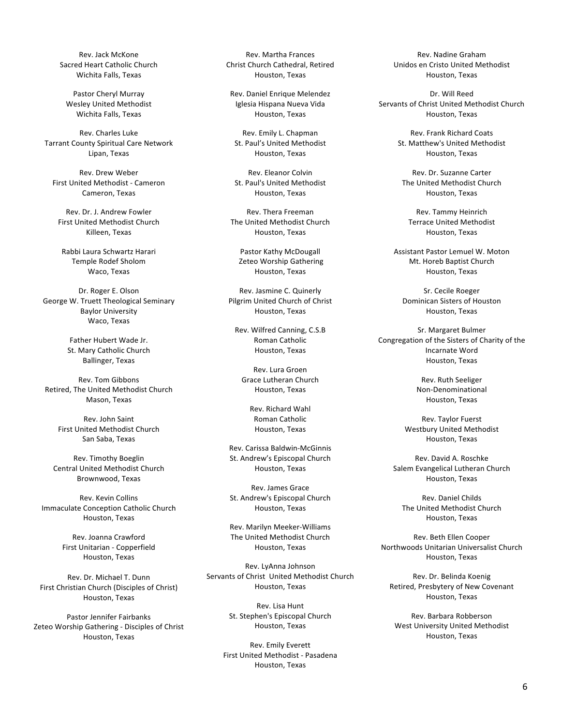Rev. Jack McKone Sacred Heart Catholic Church Wichita Falls, Texas

Pastor Cheryl Murray Wesley United Methodist Wichita Falls, Texas

Rev. Charles Luke Tarrant County Spiritual Care Network Lipan, Texas

Rev. Drew Weber First United Methodist - Cameron Cameron, Texas

Rev. Dr. J. Andrew Fowler First United Methodist Church Killeen, Texas

Rabbi Laura Schwartz Harari Temple Rodef Sholom Waco, Texas

Dr. Roger E. Olson George W. Truett Theological Seminary **Baylor University** Waco, Texas

> Father Hubert Wade Jr. St. Mary Catholic Church **Ballinger, Texas**

Rev. Tom Gibbons Retired, The United Methodist Church Mason, Texas

Rev. John Saint First United Methodist Church San Saba, Texas

Rev. Timothy Boeglin Central United Methodist Church Brownwood, Texas

Rev. Kevin Collins Immaculate Conception Catholic Church Houston, Texas

> Rev. Joanna Crawford First Unitarian - Copperfield Houston, Texas

Rev. Dr. Michael T. Dunn First Christian Church (Disciples of Christ) Houston, Texas

Pastor Jennifer Fairbanks Zeteo Worship Gathering - Disciples of Christ Houston, Texas

Rev. Martha Frances Christ Church Cathedral, Retired Houston, Texas

Rev. Daniel Enrique Melendez Iglesia Hispana Nueva Vida Houston, Texas

Rev. Emily L. Chapman St. Paul's United Methodist Houston, Texas

Rev. Eleanor Colvin St. Paul's United Methodist Houston, Texas

Rev. Thera Freeman The United Methodist Church Houston, Texas

Pastor Kathy McDougall Zeteo Worship Gathering Houston, Texas

Rev. Jasmine C. Quinerly Pilgrim United Church of Christ Houston, Texas

Rev. Wilfred Canning, C.S.B Roman Catholic Houston, Texas

Rev. Lura Groen Grace Lutheran Church Houston, Texas

> Rev. Richard Wahl Roman Catholic Houston, Texas

Rev. Carissa Baldwin-McGinnis St. Andrew's Episcopal Church Houston, Texas

Rev. James Grace St. Andrew's Episcopal Church Houston, Texas

Rev. Marilyn Meeker-Williams The United Methodist Church Houston, Texas

Rev. LyAnna Johnson Servants of Christ United Methodist Church Houston, Texas

> Rev. Lisa Hunt St. Stephen's Episcopal Church Houston, Texas

Rev. Emily Everett First United Methodist - Pasadena Houston, Texas

Rev. Nadine Graham Unidos en Cristo United Methodist Houston, Texas

Dr. Will Reed Servants of Christ United Methodist Church Houston, Texas

> Rev. Frank Richard Coats St. Matthew's United Methodist Houston, Texas

Rev. Dr. Suzanne Carter The United Methodist Church Houston, Texas

Rev. Tammy Heinrich Terrace United Methodist Houston, Texas

Assistant Pastor Lemuel W. Moton Mt. Horeb Baptist Church Houston, Texas

Sr. Cecile Roeger Dominican Sisters of Houston Houston, Texas

Sr. Margaret Bulmer Congregation of the Sisters of Charity of the Incarnate Word Houston, Texas

> Rev. Ruth Seeliger Non-Denominational Houston, Texas

Rev. Taylor Fuerst Westbury United Methodist Houston, Texas

Rev. David A. Roschke Salem Evangelical Lutheran Church Houston, Texas

Rev. Daniel Childs The United Methodist Church Houston, Texas

Rev. Beth Ellen Cooper Northwoods Unitarian Universalist Church Houston, Texas

Rev. Dr. Belinda Koenig Retired, Presbytery of New Covenant Houston, Texas

Rev. Barbara Robberson West University United Methodist Houston, Texas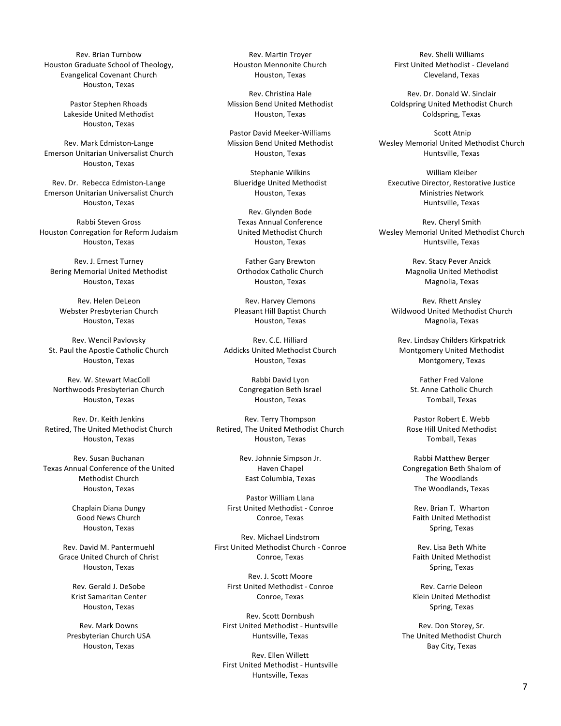Rev. Brian Turnbow Houston Graduate School of Theology, Evangelical Covenant Church Houston, Texas

> Pastor Stephen Rhoads Lakeside United Methodist Houston, Texas

Rev. Mark Edmiston-Lange Emerson Unitarian Universalist Church Houston, Texas

Rev. Dr. Rebecca Edmiston-Lange Emerson Unitarian Universalist Church Houston, Texas

Rabbi Steven Gross Houston Conregation for Reform Judaism Houston, Texas

Rev. J. Ernest Turney Bering Memorial United Methodist Houston, Texas

Rev. Helen DeLeon Webster Presbyterian Church Houston, Texas

Rev. Wencil Pavlovsky St. Paul the Apostle Catholic Church Houston, Texas

Rev. W. Stewart MacColl Northwoods Presbyterian Church Houston, Texas

Rev. Dr. Keith Jenkins Retired, The United Methodist Church Houston, Texas

Rev. Susan Buchanan Texas Annual Conference of the United Methodist Church Houston, Texas

> Chaplain Diana Dungy Good News Church Houston, Texas

Rev. David M. Pantermuehl Grace United Church of Christ Houston, Texas

> Rev. Gerald J. DeSobe Krist Samaritan Center Houston, Texas

Rev. Mark Downs Presbyterian Church USA Houston, Texas

Rev. Martin Troyer Houston Mennonite Church Houston, Texas

Rev. Christina Hale Mission Bend United Methodist Houston, Texas

Pastor David Meeker-Williams Mission Bend United Methodist Houston, Texas

Stephanie Wilkins Blueridge United Methodist Houston, Texas

Rev. Glynden Bode Texas Annual Conference United Methodist Church Houston, Texas

Father Gary Brewton Orthodox Catholic Church Houston, Texas

Rev. Harvey Clemons Pleasant Hill Baptist Church Houston, Texas

Rev. C.E. Hilliard Addicks United Methodist Cburch Houston, Texas

> Rabbi David Lyon Congregation Beth Israel Houston, Texas

Rev. Terry Thompson Retired, The United Methodist Church Houston, Texas

> Rev. Johnnie Simpson Jr. Haven Chapel East Columbia, Texas

Pastor William Llana First United Methodist - Conroe Conroe, Texas

Rev. Michael Lindstrom First United Methodist Church - Conroe Conroe, Texas

Rev. J. Scott Moore First United Methodist - Conroe Conroe, Texas

Rev. Scott Dornbush First United Methodist - Huntsville Huntsville, Texas

Rev. Ellen Willett First United Methodist - Huntsville Huntsville, Texas

Rev. Shelli Williams First United Methodist - Cleveland Cleveland, Texas

Rev. Dr. Donald W. Sinclair Coldspring United Methodist Church Coldspring, Texas

**Scott Atnip** Wesley Memorial United Methodist Church Huntsville, Texas

William Kleiber Executive Director, Restorative Justice Ministries Network Huntsville, Texas

Rev. Cheryl Smith Wesley Memorial United Methodist Church Huntsville, Texas

> Rev. Stacy Pever Anzick Magnolia United Methodist Magnolia, Texas

Rev. Rhett Ansley Wildwood United Methodist Church Magnolia, Texas

Rev. Lindsay Childers Kirkpatrick Montgomery United Methodist Montgomery, Texas

> Father Fred Valone St. Anne Catholic Church Tomball, Texas

Pastor Robert E. Webb Rose Hill United Methodist Tomball, Texas

Rabbi Matthew Berger Congregation Beth Shalom of The Woodlands The Woodlands, Texas

> Rev. Brian T. Wharton Faith United Methodist Spring, Texas

Rev. Lisa Beth White Faith United Methodist Spring, Texas

Rev. Carrie Deleon Klein United Methodist Spring, Texas

Rev. Don Storey, Sr. The United Methodist Church Bay City, Texas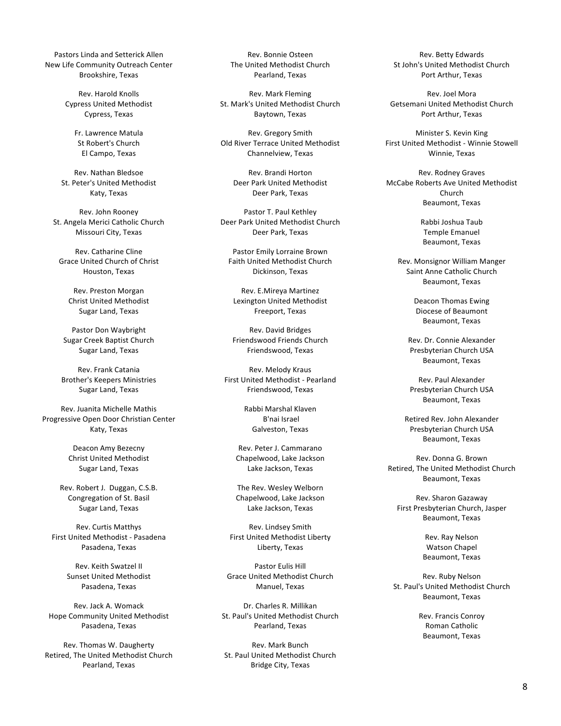Pastors Linda and Setterick Allen New Life Community Outreach Center Brookshire, Texas

> Rev. Harold Knolls Cypress United Methodist Cypress, Texas

> > Fr. Lawrence Matula St Robert's Church El Campo, Texas

Rev. Nathan Bledsoe St. Peter's United Methodist Katy, Texas

Rev. John Rooney St. Angela Merici Catholic Church Missouri City, Texas

Rev. Catharine Cline Grace United Church of Christ Houston, Texas

Rev. Preston Morgan Christ United Methodist Sugar Land, Texas

Pastor Don Waybright Sugar Creek Baptist Church Sugar Land, Texas

Rev. Frank Catania **Brother's Keepers Ministries** Sugar Land, Texas

Rev. Juanita Michelle Mathis Progressive Open Door Christian Center Katy, Texas

> Deacon Amy Bezecny Christ United Methodist Sugar Land, Texas

Rev. Robert J. Duggan, C.S.B. Congregation of St. Basil Sugar Land, Texas

Rev. Curtis Matthys First United Methodist - Pasadena Pasadena, Texas

> Rev. Keith Swatzel II Sunset United Methodist Pasadena, Texas

Rev. Jack A. Womack Hope Community United Methodist Pasadena, Texas

Rev. Thomas W. Daugherty Retired, The United Methodist Church Pearland, Texas

Rev. Bonnie Osteen The United Methodist Church Pearland, Texas

Rev. Mark Fleming St. Mark's United Methodist Church Baytown, Texas

Rev. Gregory Smith Old River Terrace United Methodist Channelview, Texas

> Rev. Brandi Horton Deer Park United Methodist Deer Park, Texas

Pastor T. Paul Kethley Deer Park United Methodist Church Deer Park, Texas

Pastor Emily Lorraine Brown Faith United Methodist Church Dickinson, Texas

Rev. E.Mireya Martinez Lexington United Methodist Freeport, Texas

Rev. David Bridges Friendswood Friends Church Friendswood, Texas

Rev. Melody Kraus First United Methodist - Pearland Friendswood, Texas

> Rabbi Marshal Klaven B'nai Israel Galveston, Texas

Rev. Peter J. Cammarano Chapelwood, Lake Jackson Lake Jackson, Texas

The Rev. Wesley Welborn Chapelwood, Lake Jackson Lake Jackson, Texas

Rev. Lindsey Smith First United Methodist Liberty Liberty, Texas

Pastor Eulis Hill Grace United Methodist Church Manuel, Texas

Dr. Charles R. Millikan St. Paul's United Methodist Church Pearland, Texas

Rev. Mark Bunch St. Paul United Methodist Church Bridge City, Texas

Rev. Betty Edwards St John's United Methodist Church Port Arthur, Texas

Rev. Joel Mora Getsemani United Methodist Church Port Arthur, Texas

Minister S. Kevin King First United Methodist - Winnie Stowell Winnie, Texas

Rev. Rodney Graves McCabe Roberts Ave United Methodist Church Beaumont, Texas

> Rabbi Joshua Taub Temple Emanuel Beaumont, Texas

Rev. Monsignor William Manger Saint Anne Catholic Church Beaumont, Texas

> Deacon Thomas Ewing Diocese of Beaumont Beaumont, Texas

Rev. Dr. Connie Alexander Presbyterian Church USA Beaumont, Texas

Rev. Paul Alexander Presbyterian Church USA Beaumont, Texas

Retired Rev. John Alexander Presbyterian Church USA Beaumont, Texas

Rev. Donna G. Brown Retired, The United Methodist Church Beaumont, Texas

Rev. Sharon Gazaway First Presbyterian Church, Jasper Beaumont, Texas

> Rev. Ray Nelson Watson Chapel Beaumont, Texas

Rev. Ruby Nelson St. Paul's United Methodist Church Beaumont, Texas

> Rev. Francis Conroy Roman Catholic Beaumont, Texas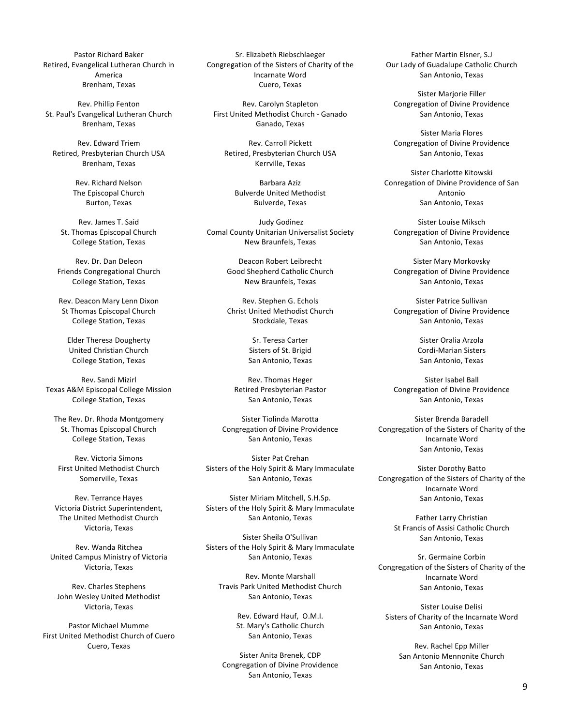Pastor Richard Baker Retired, Evangelical Lutheran Church in America Brenham, Texas

Rev. Phillip Fenton St. Paul's Evangelical Lutheran Church Brenham, Texas

Rev. Edward Triem Retired, Presbyterian Church USA Brenham, Texas

> Rev. Richard Nelson The Episcopal Church **Burton, Texas**

Rev. James T. Said St. Thomas Episcopal Church College Station, Texas

Rev. Dr. Dan Deleon Friends Congregational Church College Station, Texas

Rev. Deacon Mary Lenn Dixon St Thomas Episcopal Church College Station, Texas

Elder Theresa Dougherty United Christian Church College Station, Texas

Rev. Sandi Mizirl Texas A&M Episcopal College Mission College Station, Texas

The Rev. Dr. Rhoda Montgomery St. Thomas Episcopal Church College Station, Texas

Rev. Victoria Simons First United Methodist Church Somerville, Texas

Rev. Terrance Hayes Victoria District Superintendent, The United Methodist Church Victoria, Texas

Rev. Wanda Ritchea United Campus Ministry of Victoria Victoria, Texas

Rev. Charles Stephens John Wesley United Methodist Victoria, Texas

Pastor Michael Mumme First United Methodist Church of Cuero Cuero, Texas

Sr. Elizabeth Riebschlaeger Congregation of the Sisters of Charity of the Incarnate Word Cuero, Texas

Rev. Carolyn Stapleton First United Methodist Church - Ganado Ganado, Texas

Rev. Carroll Pickett Retired, Presbyterian Church USA Kerrville, Texas

> Barbara Aziz **Bulverde United Methodist** Bulverde, Texas

Judy Godinez Comal County Unitarian Universalist Society New Braunfels, Texas

> Deacon Robert Leibrecht Good Shepherd Catholic Church New Braunfels, Texas

> Rev. Stephen G. Echols Christ United Methodist Church Stockdale, Texas

> > Sr. Teresa Carter Sisters of St. Brigid San Antonio, Texas

Rev. Thomas Heger Retired Presbyterian Pastor San Antonio, Texas

Sister Tiolinda Marotta Congregation of Divine Providence San Antonio, Texas

Sister Pat Crehan Sisters of the Holy Spirit & Mary Immaculate San Antonio, Texas

Sister Miriam Mitchell, S.H.Sp. Sisters of the Holy Spirit & Mary Immaculate San Antonio, Texas

Sister Sheila O'Sullivan Sisters of the Holy Spirit & Mary Immaculate San Antonio, Texas

Rev. Monte Marshall Travis Park United Methodist Church San Antonio, Texas

> Rev. Edward Hauf, O.M.I. St. Mary's Catholic Church San Antonio, Texas

Sister Anita Brenek, CDP Congregation of Divine Providence San Antonio, Texas

Father Martin Elsner, S.J Our Lady of Guadalupe Catholic Church San Antonio, Texas

Sister Marjorie Filler Congregation of Divine Providence San Antonio, Texas

Sister Maria Flores Congregation of Divine Providence San Antonio, Texas

Sister Charlotte Kitowski Conregation of Divine Providence of San Antonio San Antonio, Texas

Sister Louise Miksch Congregation of Divine Providence San Antonio, Texas

Sister Mary Morkovsky Congregation of Divine Providence San Antonio, Texas

Sister Patrice Sullivan Congregation of Divine Providence San Antonio, Texas

> Sister Oralia Arzola Cordi-Marian Sisters San Antonio, Texas

Sister Isabel Ball Congregation of Divine Providence San Antonio, Texas

Sister Brenda Baradell Congregation of the Sisters of Charity of the Incarnate Word San Antonio, Texas

Sister Dorothy Batto Congregation of the Sisters of Charity of the Incarnate Word San Antonio, Texas

> Father Larry Christian St Francis of Assisi Catholic Church San Antonio, Texas

Sr. Germaine Corbin Congregation of the Sisters of Charity of the Incarnate Word San Antonio, Texas

Sister Louise Delisi Sisters of Charity of the Incarnate Word San Antonio, Texas

> Rev. Rachel Epp Miller San Antonio Mennonite Church San Antonio, Texas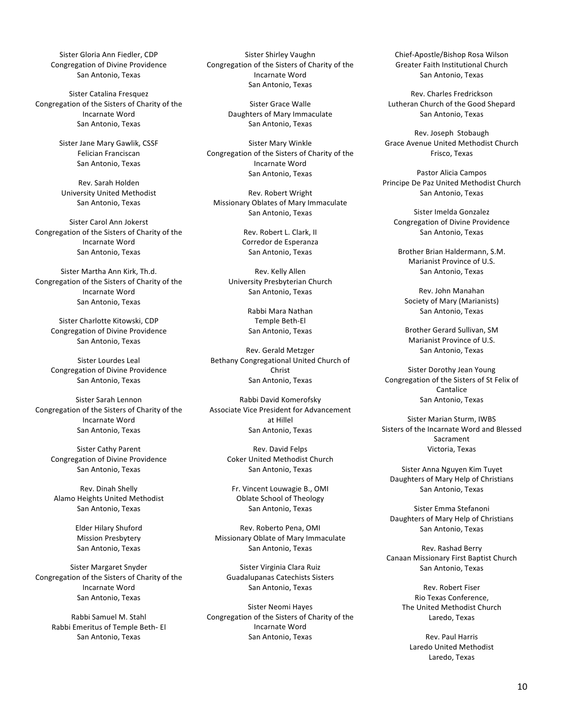Sister Gloria Ann Fiedler, CDP Congregation of Divine Providence San Antonio, Texas

Sister Catalina Fresquez Congregation of the Sisters of Charity of the Incarnate Word San Antonio, Texas

> Sister Jane Mary Gawlik, CSSF Felician Franciscan San Antonio, Texas

Rev. Sarah Holden University United Methodist San Antonio, Texas

Sister Carol Ann Jokerst Congregation of the Sisters of Charity of the Incarnate Word San Antonio, Texas

Sister Martha Ann Kirk, Th.d. Congregation of the Sisters of Charity of the Incarnate Word San Antonio, Texas

Sister Charlotte Kitowski, CDP Congregation of Divine Providence San Antonio, Texas

Sister Lourdes Leal Congregation of Divine Providence San Antonio, Texas

Sister Sarah Lennon Congregation of the Sisters of Charity of the Incarnate Word San Antonio, Texas

Sister Cathy Parent Congregation of Divine Providence San Antonio, Texas

Rev. Dinah Shelly Alamo Heights United Methodist San Antonio, Texas

> Elder Hilary Shuford **Mission Presbytery** San Antonio, Texas

Sister Margaret Snyder Congregation of the Sisters of Charity of the Incarnate Word San Antonio, Texas

> Rabbi Samuel M. Stahl Rabbi Emeritus of Temple Beth- El San Antonio, Texas

Sister Shirley Vaughn Congregation of the Sisters of Charity of the Incarnate Word San Antonio, Texas

> Sister Grace Walle Daughters of Mary Immaculate San Antonio, Texas

Sister Mary Winkle Congregation of the Sisters of Charity of the Incarnate Word San Antonio, Texas

Rev. Robert Wright Missionary Oblates of Mary Immaculate San Antonio, Texas

> Rev. Robert L. Clark, II Corredor de Esperanza San Antonio, Texas

Rev. Kelly Allen University Presbyterian Church San Antonio, Texas

> Rabbi Mara Nathan Temple Beth-El San Antonio, Texas

Rev. Gerald Metzger Bethany Congregational United Church of Christ San Antonio, Texas

Rabbi David Komerofsky Associate Vice President for Advancement at Hillel San Antonio, Texas

> Rev. David Felps Coker United Methodist Church San Antonio, Texas

Fr. Vincent Louwagie B., OMI Oblate School of Theology San Antonio, Texas

Rev. Roberto Pena, OMI Missionary Oblate of Mary Immaculate San Antonio, Texas

Sister Virginia Clara Ruiz Guadalupanas Catechists Sisters San Antonio, Texas

Sister Neomi Hayes Congregation of the Sisters of Charity of the Incarnate Word San Antonio, Texas

Chief-Apostle/Bishop Rosa Wilson Greater Faith Institutional Church San Antonio, Texas

Rev. Charles Fredrickson Lutheran Church of the Good Shepard San Antonio, Texas

Rev. Joseph Stobaugh Grace Avenue United Methodist Church Frisco, Texas

Pastor Alicia Campos Principe De Paz United Methodist Church San Antonio, Texas

Sister Imelda Gonzalez Congregation of Divine Providence San Antonio, Texas

Brother Brian Haldermann, S.M. Marianist Province of U.S. San Antonio, Texas

Rev. John Manahan Society of Mary (Marianists) San Antonio, Texas

Brother Gerard Sullivan, SM Marianist Province of U.S. San Antonio, Texas

Sister Dorothy Jean Young Congregation of the Sisters of St Felix of Cantalice San Antonio, Texas

Sister Marian Sturm, IWBS Sisters of the Incarnate Word and Blessed Sacrament Victoria, Texas

Sister Anna Nguyen Kim Tuyet Daughters of Mary Help of Christians San Antonio, Texas

Sister Emma Stefanoni Daughters of Mary Help of Christians San Antonio, Texas

Rev. Rashad Berry Canaan Missionary First Baptist Church San Antonio, Texas

> Rev. Robert Fiser Rio Texas Conference, The United Methodist Church Laredo, Texas

Rev. Paul Harris Laredo United Methodist Laredo, Texas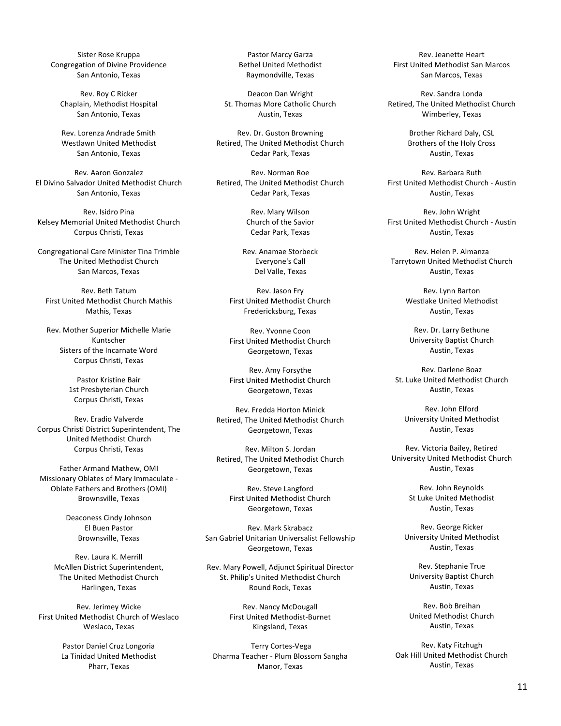Sister Rose Kruppa Congregation of Divine Providence San Antonio, Texas

Rev. Roy C Ricker Chaplain, Methodist Hospital San Antonio, Texas

Rev. Lorenza Andrade Smith Westlawn United Methodist San Antonio, Texas

Rev. Aaron Gonzalez El Divino Salvador United Methodist Church San Antonio, Texas

Rev. Isidro Pina Kelsey Memorial United Methodist Church Corpus Christi, Texas

Congregational Care Minister Tina Trimble The United Methodist Church San Marcos, Texas

Rev. Beth Tatum First United Methodist Church Mathis Mathis, Texas

Rev. Mother Superior Michelle Marie Kuntscher Sisters of the Incarnate Word Corpus Christi, Texas

> Pastor Kristine Bair 1st Presbyterian Church Corpus Christi, Texas

Rev. Eradio Valverde Corpus Christi District Superintendent, The United Methodist Church Corpus Christi, Texas

Father Armand Mathew, OMI Missionary Oblates of Mary Immaculate -Oblate Fathers and Brothers (OMI) Brownsville, Texas

> Deaconess Cindy Johnson El Buen Pastor Brownsville, Texas

Rev. Laura K. Merrill McAllen District Superintendent. The United Methodist Church Harlingen, Texas

Rev. Jerimey Wicke First United Methodist Church of Weslaco Weslaco, Texas

> Pastor Daniel Cruz Longoria La Tinidad United Methodist Pharr, Texas

Pastor Marcy Garza **Bethel United Methodist** Raymondville, Texas

Deacon Dan Wright St. Thomas More Catholic Church Austin, Texas

Rev. Dr. Guston Browning Retired, The United Methodist Church Cedar Park, Texas

Rev. Norman Roe Retired, The United Methodist Church Cedar Park, Texas

> Rev. Mary Wilson Church of the Savior Cedar Park, Texas

Rev. Anamae Storbeck Everyone's Call Del Valle, Texas

Rev. Jason Frv First United Methodist Church Fredericksburg, Texas

Rev. Yvonne Coon First United Methodist Church Georgetown, Texas

Rev. Amy Forsythe First United Methodist Church Georgetown, Texas

Rev. Fredda Horton Minick Retired, The United Methodist Church Georgetown, Texas

Rev. Milton S. Jordan Retired, The United Methodist Church Georgetown, Texas

> Rev. Steve Langford First United Methodist Church Georgetown, Texas

Rev. Mark Skrabacz San Gabriel Unitarian Universalist Fellowship Georgetown, Texas

Rev. Mary Powell, Adjunct Spiritual Director St. Philip's United Methodist Church Round Rock, Texas

> Rev. Nancy McDougall First United Methodist-Burnet Kingsland, Texas

Terry Cortes-Vega Dharma Teacher - Plum Blossom Sangha Manor, Texas

Rev. Jeanette Heart First United Methodist San Marcos San Marcos, Texas

Rev. Sandra Londa Retired, The United Methodist Church Wimberley, Texas

> Brother Richard Daly, CSL Brothers of the Holy Cross Austin, Texas

Rev. Barbara Ruth First United Methodist Church - Austin Austin, Texas

Rev. John Wright First United Methodist Church - Austin Austin, Texas

Rev. Helen P. Almanza Tarrytown United Methodist Church Austin, Texas

> Rev. Lynn Barton Westlake United Methodist Austin, Texas

Rev. Dr. Larry Bethune University Baptist Church Austin, Texas

Rev. Darlene Boaz St. Luke United Methodist Church Austin, Texas

Rev. John Elford University United Methodist Austin, Texas

Rev. Victoria Bailey, Retired University United Methodist Church Austin, Texas

> Rev. John Reynolds St Luke United Methodist Austin, Texas

Rev. George Ricker University United Methodist Austin, Texas

Rev. Stephanie True University Baptist Church Austin, Texas

Rev. Bob Breihan United Methodist Church Austin, Texas

Rev. Katy Fitzhugh Oak Hill United Methodist Church Austin, Texas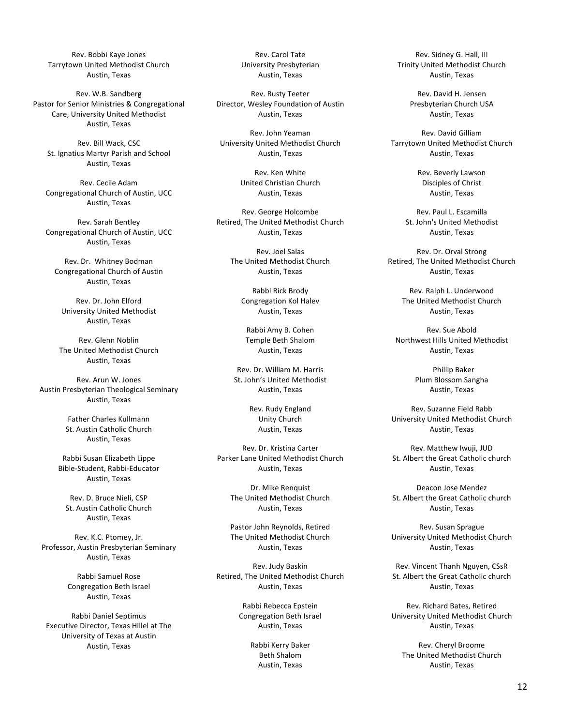Rev. Bobbi Kaye Jones Tarrytown United Methodist Church Austin, Texas

Rev. W.B. Sandberg Pastor for Senior Ministries & Congregational Care, University United Methodist Austin, Texas

Rev. Bill Wack, CSC St. Ignatius Martyr Parish and School Austin, Texas

Rev. Cecile Adam Congregational Church of Austin, UCC Austin, Texas

Rev. Sarah Bentley Congregational Church of Austin, UCC Austin, Texas

Rev. Dr. Whitney Bodman Congregational Church of Austin Austin, Texas

Rev. Dr. John Elford University United Methodist Austin, Texas

Rev. Glenn Noblin The United Methodist Church Austin, Texas

Rev. Arun W. Jones Austin Presbyterian Theological Seminary Austin, Texas

> Father Charles Kullmann St. Austin Catholic Church Austin, Texas

Rabbi Susan Elizabeth Lippe Bible-Student, Rabbi-Educator Austin, Texas

Rev. D. Bruce Nieli, CSP St. Austin Catholic Church Austin, Texas

Rev. K.C. Ptomey, Jr. Professor, Austin Presbyterian Seminary Austin, Texas

> Rabbi Samuel Rose Congregation Beth Israel Austin, Texas

Rabbi Daniel Septimus Executive Director, Texas Hillel at The University of Texas at Austin Austin, Texas

Rev. Carol Tate University Presbyterian Austin, Texas

Rev. Rusty Teeter Director, Wesley Foundation of Austin Austin, Texas

Rev. John Yeaman University United Methodist Church Austin, Texas

> Rev. Ken White United Christian Church Austin, Texas

Rev. George Holcombe Retired, The United Methodist Church Austin, Texas

> Rev. Joel Salas The United Methodist Church Austin, Texas

> > Rabbi Rick Brody Congregation Kol Halev Austin, Texas

Rabbi Amy B. Cohen Temple Beth Shalom Austin, Texas

Rev. Dr. William M. Harris St. John's United Methodist Austin, Texas

> Rev. Rudy England Unity Church Austin, Texas

Rev. Dr. Kristina Carter Parker Lane United Methodist Church Austin, Texas

> Dr. Mike Renquist The United Methodist Church Austin, Texas

> Pastor John Reynolds, Retired The United Methodist Church Austin, Texas

Rev. Judy Baskin Retired, The United Methodist Church Austin, Texas

> Rabbi Rebecca Epstein Congregation Beth Israel Austin, Texas

> > Rabbi Kerry Baker Beth Shalom Austin, Texas

Rev. Sidney G. Hall, III Trinity United Methodist Church Austin, Texas

> Rev. David H. Jensen Presbyterian Church USA Austin, Texas

Rev. David Gilliam Tarrytown United Methodist Church Austin, Texas

> Rev. Beverly Lawson Disciples of Christ Austin, Texas

Rev. Paul L. Escamilla St. John's United Methodist Austin, Texas

Rev. Dr. Orval Strong Retired, The United Methodist Church Austin, Texas

Rev. Ralph L. Underwood The United Methodist Church Austin, Texas

Rev. Sue Abold Northwest Hills United Methodist Austin, Texas

> Phillip Baker Plum Blossom Sangha Austin, Texas

Rev. Suzanne Field Rabb University United Methodist Church Austin, Texas

Rev. Matthew Iwuii, JUD St. Albert the Great Catholic church Austin, Texas

Deacon Jose Mendez St. Albert the Great Catholic church Austin, Texas

Rev. Susan Sprague University United Methodist Church Austin, Texas

Rev. Vincent Thanh Nguven, CSsR St. Albert the Great Catholic church Austin, Texas

Rev. Richard Bates, Retired University United Methodist Church Austin, Texas

Rev. Cheryl Broome The United Methodist Church Austin, Texas